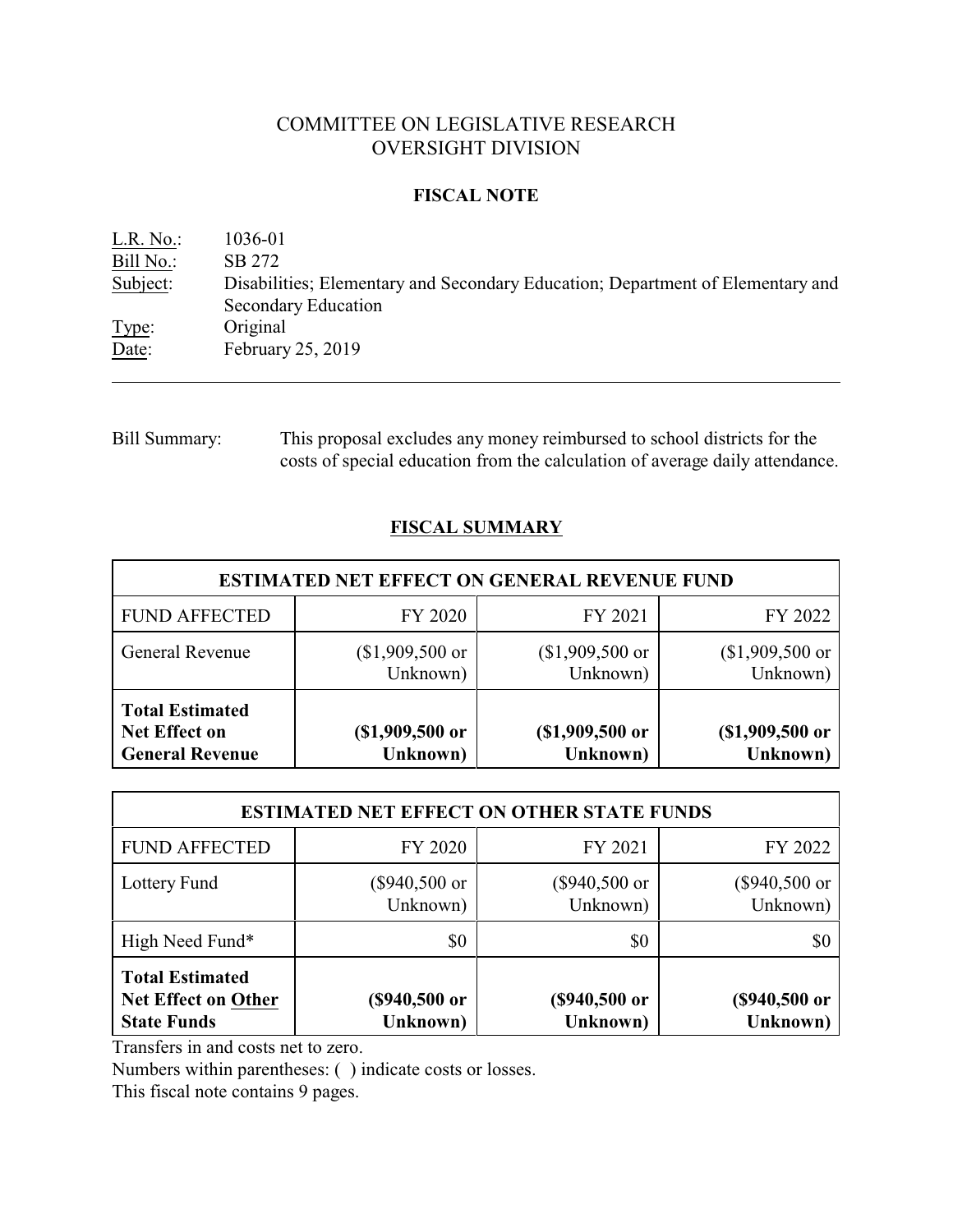## COMMITTEE ON LEGISLATIVE RESEARCH OVERSIGHT DIVISION

## **FISCAL NOTE**

| L.R. No.  | 1036-01                                                                                               |
|-----------|-------------------------------------------------------------------------------------------------------|
| Bill No.: | SB 272                                                                                                |
| Subject:  | Disabilities; Elementary and Secondary Education; Department of Elementary and<br>Secondary Education |
| Type:     | Original                                                                                              |
| Date:     | February 25, 2019                                                                                     |

Bill Summary: This proposal excludes any money reimbursed to school districts for the costs of special education from the calculation of average daily attendance.

## **FISCAL SUMMARY**

| <b>ESTIMATED NET EFFECT ON GENERAL REVENUE FUND</b>                      |                              |                              |                              |  |  |  |
|--------------------------------------------------------------------------|------------------------------|------------------------------|------------------------------|--|--|--|
| <b>FUND AFFECTED</b>                                                     | FY 2020                      | FY 2021                      | FY 2022                      |  |  |  |
| <b>General Revenue</b>                                                   | $($1,909,500$ or<br>Unknown) | $($1,909,500$ or<br>Unknown) | $($1,909,500$ or<br>Unknown) |  |  |  |
| <b>Total Estimated</b><br><b>Net Effect on</b><br><b>General Revenue</b> | $($1,909,500$ or<br>Unknown) | $($1,909,500$ or<br>Unknown) | (\$1,909,500 or<br>Unknown)  |  |  |  |

| <b>ESTIMATED NET EFFECT ON OTHER STATE FUNDS</b>                                                                                                           |                           |                             |                           |  |  |  |
|------------------------------------------------------------------------------------------------------------------------------------------------------------|---------------------------|-----------------------------|---------------------------|--|--|--|
| FY 2022<br>FY 2020<br>FY 2021<br><b>FUND AFFECTED</b>                                                                                                      |                           |                             |                           |  |  |  |
| Lottery Fund                                                                                                                                               | (\$940,500 or<br>Unknown) | $(\$940,500$ or<br>Unknown) | (\$940,500 or<br>Unknown) |  |  |  |
| High Need Fund*                                                                                                                                            | \$0                       | \$0                         | \$0                       |  |  |  |
| <b>Total Estimated</b><br>(\$940,500 or<br>(\$940,500 or<br>Net Effect on Other<br>(\$940,500 or<br>Unknown)<br>Unknown)<br>Unknown)<br><b>State Funds</b> |                           |                             |                           |  |  |  |

Transfers in and costs net to zero.

Numbers within parentheses: ( ) indicate costs or losses.

This fiscal note contains 9 pages.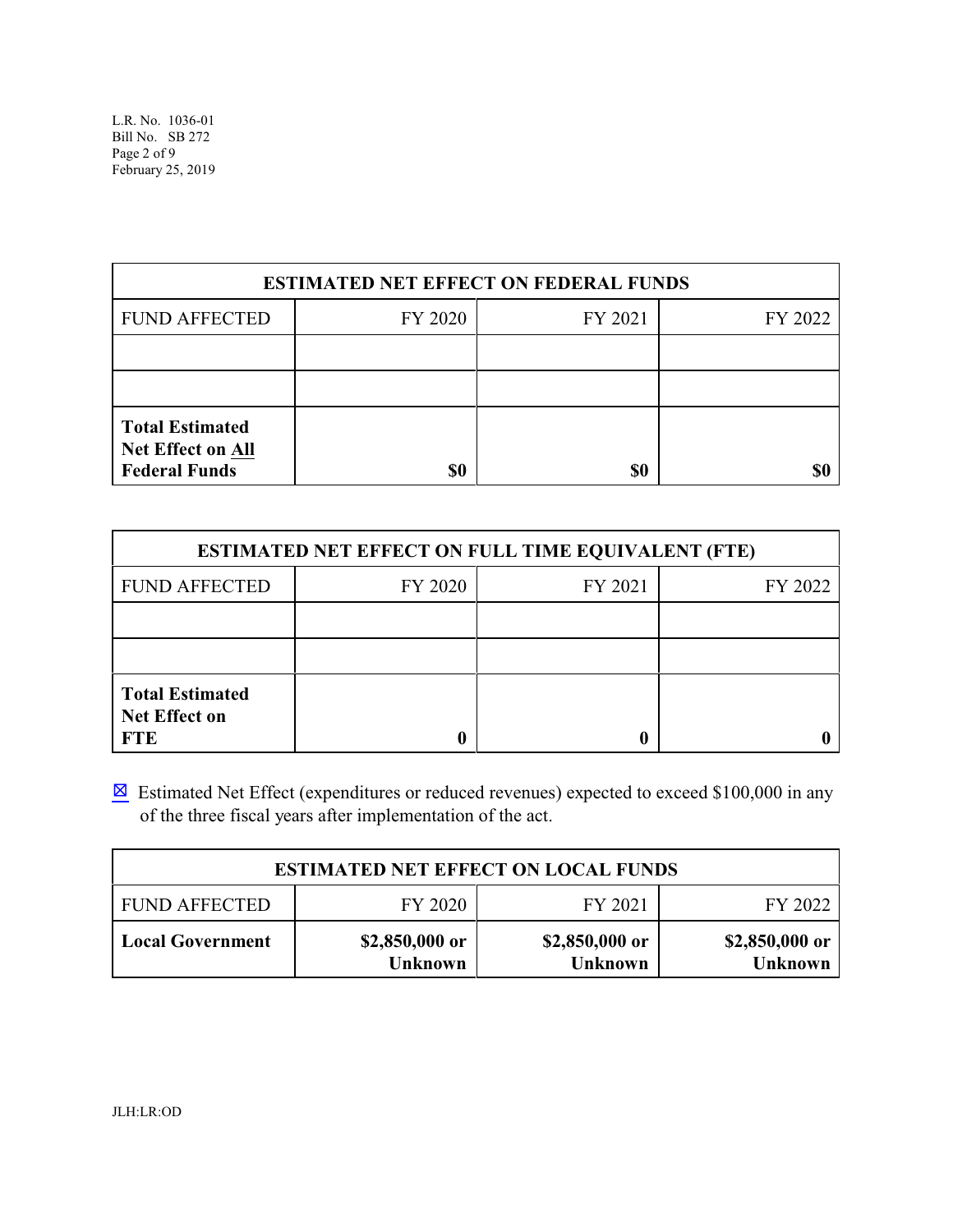L.R. No. 1036-01 Bill No. SB 272 Page 2 of 9 February 25, 2019

| <b>ESTIMATED NET EFFECT ON FEDERAL FUNDS</b>                               |         |         |         |  |  |  |
|----------------------------------------------------------------------------|---------|---------|---------|--|--|--|
| <b>FUND AFFECTED</b>                                                       | FY 2020 | FY 2021 | FY 2022 |  |  |  |
|                                                                            |         |         |         |  |  |  |
|                                                                            |         |         |         |  |  |  |
| <b>Total Estimated</b><br><b>Net Effect on All</b><br><b>Federal Funds</b> | \$0     | \$0     |         |  |  |  |

| <b>ESTIMATED NET EFFECT ON FULL TIME EQUIVALENT (FTE)</b>    |         |         |         |  |  |  |
|--------------------------------------------------------------|---------|---------|---------|--|--|--|
| <b>FUND AFFECTED</b>                                         | FY 2020 | FY 2021 | FY 2022 |  |  |  |
|                                                              |         |         |         |  |  |  |
|                                                              |         |         |         |  |  |  |
| <b>Total Estimated</b><br><b>Net Effect on</b><br><b>FTE</b> |         |         |         |  |  |  |

 $\boxtimes$  Estimated Net Effect (expenditures or reduced revenues) expected to exceed \$100,000 in any of the three fiscal years after implementation of the act.

| <b>ESTIMATED NET EFFECT ON LOCAL FUNDS</b>            |                                  |                                  |                                  |  |  |  |
|-------------------------------------------------------|----------------------------------|----------------------------------|----------------------------------|--|--|--|
| FY 2020<br><b>FUND AFFECTED</b><br>FY 2021<br>FY 2022 |                                  |                                  |                                  |  |  |  |
| <b>Local Government</b>                               | \$2,850,000 or<br><b>Unknown</b> | \$2,850,000 or<br><b>Unknown</b> | \$2,850,000 or<br><b>Unknown</b> |  |  |  |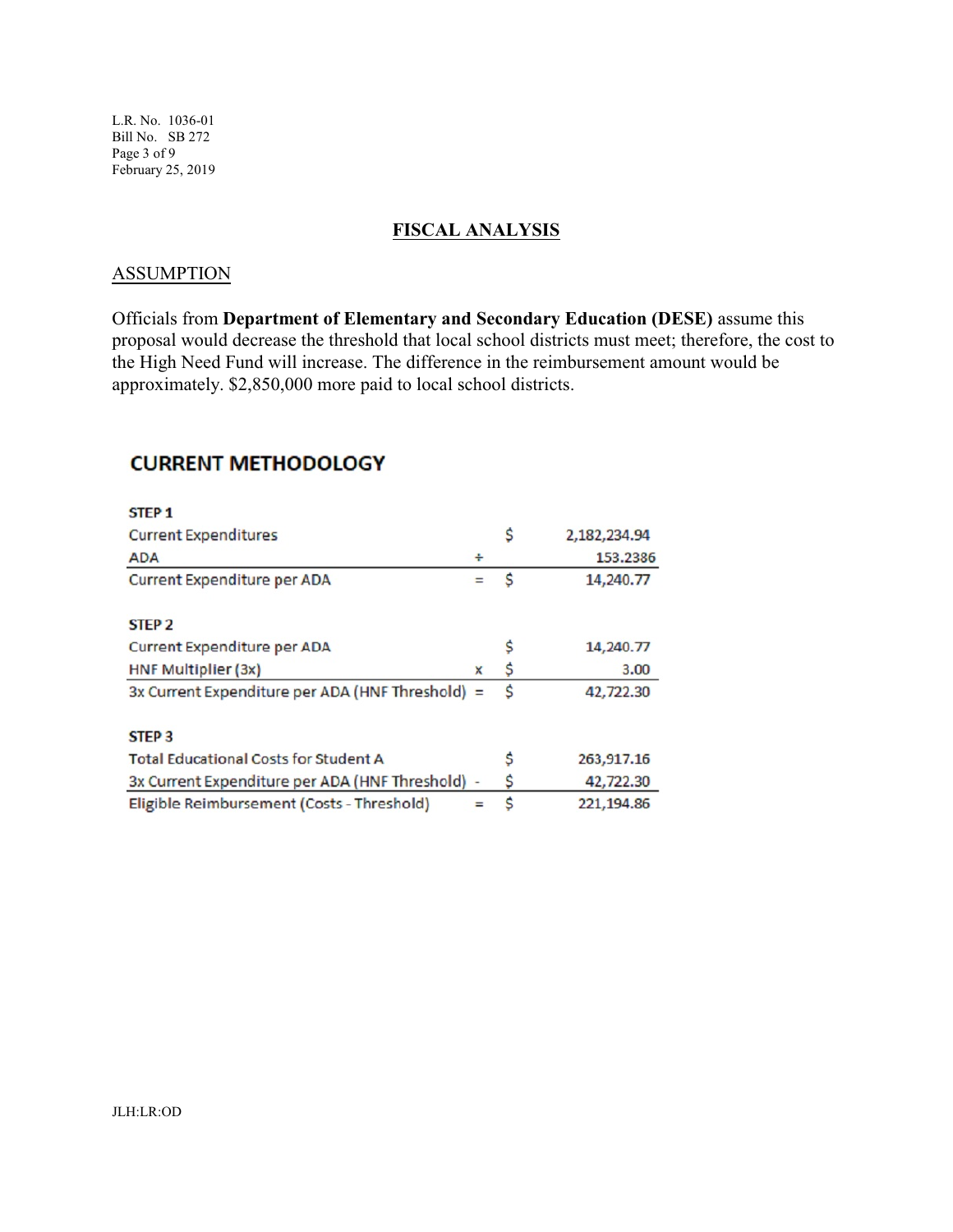L.R. No. 1036-01 Bill No. SB 272 Page 3 of 9 February 25, 2019

### **FISCAL ANALYSIS**

#### **ASSUMPTION**

Officials from **Department of Elementary and Secondary Education (DESE)** assume this proposal would decrease the threshold that local school districts must meet; therefore, the cost to the High Need Fund will increase. The difference in the reimbursement amount would be approximately. \$2,850,000 more paid to local school districts.

# **CURRENT METHODOLOGY**

| <b>STEP1</b>                                     |              |   |              |
|--------------------------------------------------|--------------|---|--------------|
| <b>Current Expenditures</b>                      |              | s | 2,182,234.94 |
| <b>ADA</b>                                       | ÷            |   | 153.2386     |
| Current Expenditure per ADA                      |              | Ŝ | 14,240.77    |
| STEP <sub>2</sub>                                |              |   |              |
| Current Expenditure per ADA                      |              |   | 14,240.77    |
| HNF Multiplier (3x)                              | $\mathsf{x}$ | S | 3.00         |
| 3x Current Expenditure per ADA (HNF Threshold) = |              | S | 42,722.30    |
| STEP <sub>3</sub>                                |              |   |              |
| <b>Total Educational Costs for Student A</b>     |              | s | 263,917.16   |
| 3x Current Expenditure per ADA (HNF Threshold)   |              | S | 42,722.30    |
| Eligible Reimbursement (Costs - Threshold)       |              | S | 221,194.86   |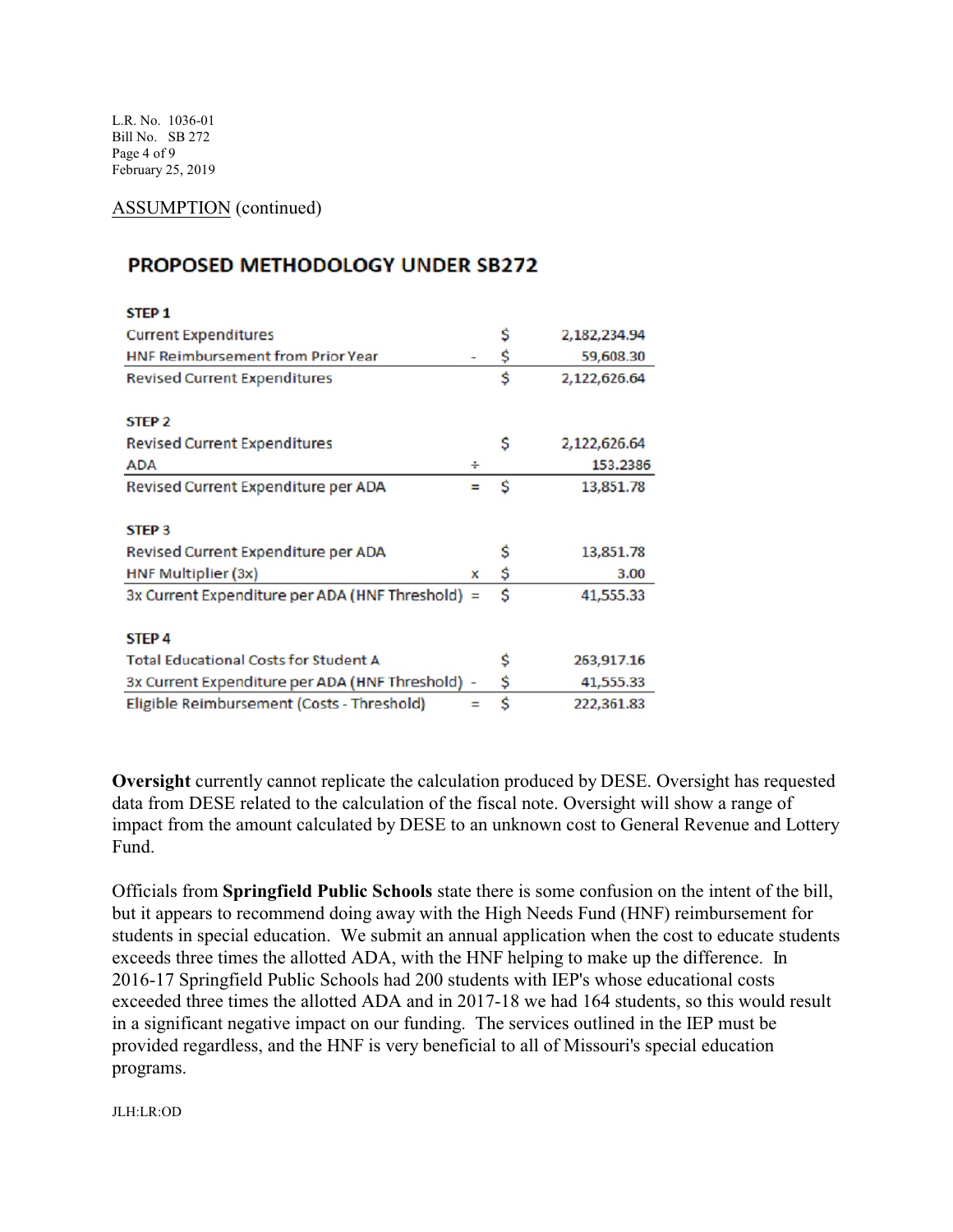L.R. No. 1036-01 Bill No. SB 272 Page 4 of 9 February 25, 2019

ASSUMPTION (continued)

# **PROPOSED METHODOLOGY UNDER SB272**

| <b>STEP 1</b>                                    |   |    |              |
|--------------------------------------------------|---|----|--------------|
| <b>Current Expenditures</b>                      |   | \$ | 2,182,234.94 |
| <b>HNF Reimbursement from Prior Year</b>         |   | \$ | 59,608.30    |
| <b>Revised Current Expenditures</b>              |   | \$ | 2,122,626.64 |
| STEP <sub>2</sub>                                |   |    |              |
| <b>Revised Current Expenditures</b>              |   | \$ | 2,122,626.64 |
| <b>ADA</b>                                       | ÷ |    | 153.2386     |
| Revised Current Expenditure per ADA              |   | Ś  | 13,851.78    |
| STEP <sub>3</sub>                                |   |    |              |
| Revised Current Expenditure per ADA              |   | s  | 13,851.78    |
| HNF Multiplier (3x)                              | X | \$ | 3.00         |
| 3x Current Expenditure per ADA (HNF Threshold) = |   | Ś  | 41,555.33    |
| STEP <sub>4</sub>                                |   |    |              |
| <b>Total Educational Costs for Student A</b>     |   | s  | 263,917.16   |
| 3x Current Expenditure per ADA (HNF Threshold) - |   | \$ | 41,555.33    |
| Eligible Reimbursement (Costs - Threshold)       |   | \$ | 222,361.83   |

**Oversight** currently cannot replicate the calculation produced by DESE. Oversight has requested data from DESE related to the calculation of the fiscal note. Oversight will show a range of impact from the amount calculated by DESE to an unknown cost to General Revenue and Lottery Fund.

Officials from **Springfield Public Schools** state there is some confusion on the intent of the bill, but it appears to recommend doing away with the High Needs Fund (HNF) reimbursement for students in special education. We submit an annual application when the cost to educate students exceeds three times the allotted ADA, with the HNF helping to make up the difference. In 2016-17 Springfield Public Schools had 200 students with IEP's whose educational costs exceeded three times the allotted ADA and in 2017-18 we had 164 students, so this would result in a significant negative impact on our funding. The services outlined in the IEP must be provided regardless, and the HNF is very beneficial to all of Missouri's special education programs.

JLH:LR:OD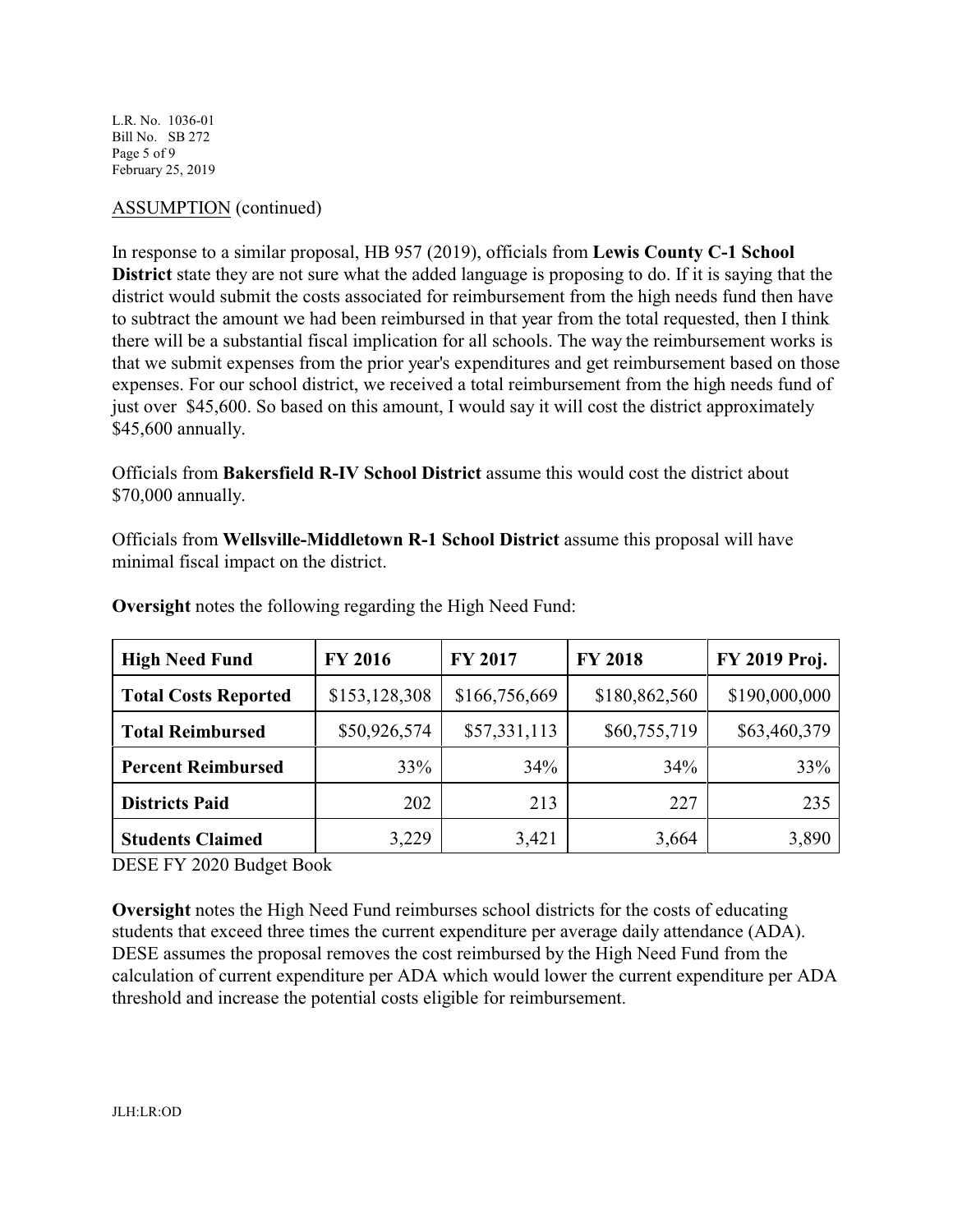L.R. No. 1036-01 Bill No. SB 272 Page 5 of 9 February 25, 2019

## ASSUMPTION (continued)

In response to a similar proposal, HB 957 (2019), officials from **Lewis County C-1 School District** state they are not sure what the added language is proposing to do. If it is saying that the district would submit the costs associated for reimbursement from the high needs fund then have to subtract the amount we had been reimbursed in that year from the total requested, then I think there will be a substantial fiscal implication for all schools. The way the reimbursement works is that we submit expenses from the prior year's expenditures and get reimbursement based on those expenses. For our school district, we received a total reimbursement from the high needs fund of just over \$45,600. So based on this amount, I would say it will cost the district approximately \$45,600 annually.

Officials from **Bakersfield R-IV School District** assume this would cost the district about \$70,000 annually.

Officials from **Wellsville-Middletown R-1 School District** assume this proposal will have minimal fiscal impact on the district.

| <b>High Need Fund</b>       | <b>FY 2016</b> | FY 2017       | <b>FY 2018</b> | FY 2019 Proj. |
|-----------------------------|----------------|---------------|----------------|---------------|
| <b>Total Costs Reported</b> | \$153,128,308  | \$166,756,669 | \$180,862,560  | \$190,000,000 |
| <b>Total Reimbursed</b>     | \$50,926,574   | \$57,331,113  | \$60,755,719   | \$63,460,379  |
| <b>Percent Reimbursed</b>   | 33%            | 34%           | 34%            | 33%           |
| <b>Districts Paid</b>       | 202            | 213           | 227            | 235           |
| <b>Students Claimed</b>     | 3,229          | 3,421         | 3,664          | 3,890         |

**Oversight** notes the following regarding the High Need Fund:

DESE FY 2020 Budget Book

**Oversight** notes the High Need Fund reimburses school districts for the costs of educating students that exceed three times the current expenditure per average daily attendance (ADA). DESE assumes the proposal removes the cost reimbursed by the High Need Fund from the calculation of current expenditure per ADA which would lower the current expenditure per ADA threshold and increase the potential costs eligible for reimbursement.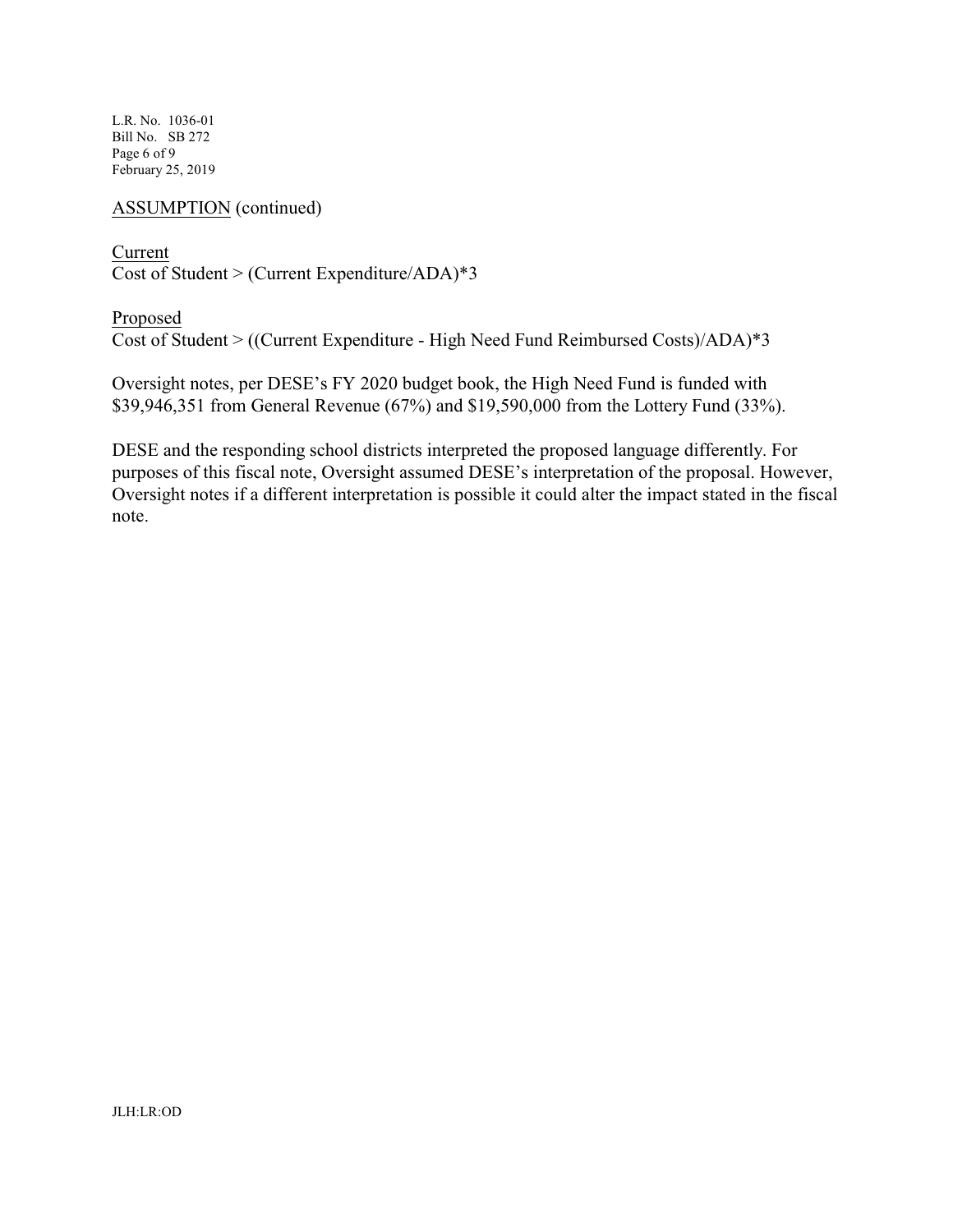L.R. No. 1036-01 Bill No. SB 272 Page 6 of 9 February 25, 2019

### ASSUMPTION (continued)

Current Cost of Student > (Current Expenditure/ADA)\*3

Proposed Cost of Student > ((Current Expenditure - High Need Fund Reimbursed Costs)/ADA)\*3

Oversight notes, per DESE's FY 2020 budget book, the High Need Fund is funded with \$39,946,351 from General Revenue (67%) and \$19,590,000 from the Lottery Fund (33%).

DESE and the responding school districts interpreted the proposed language differently. For purposes of this fiscal note, Oversight assumed DESE's interpretation of the proposal. However, Oversight notes if a different interpretation is possible it could alter the impact stated in the fiscal note.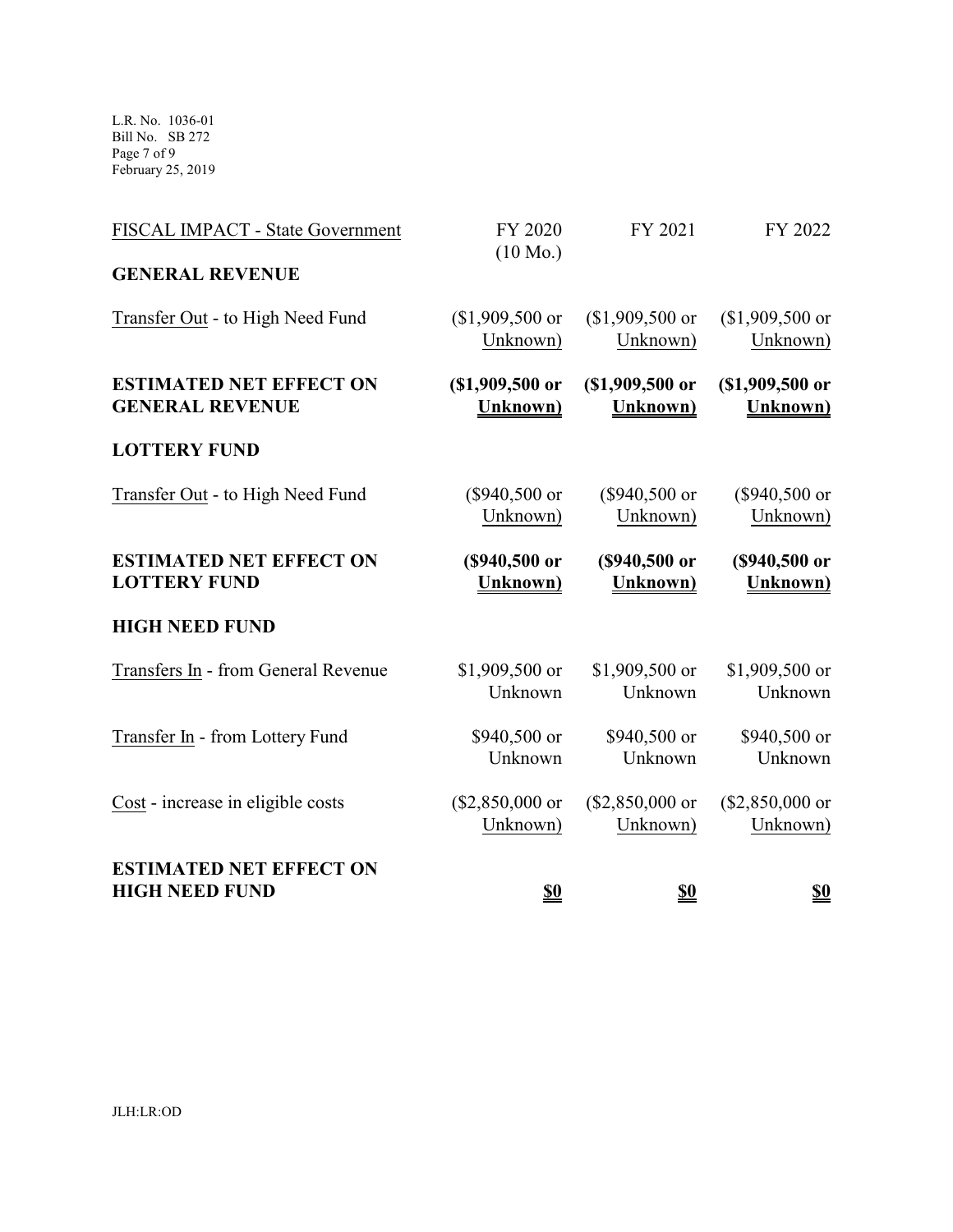L.R. No. 1036-01 Bill No. SB 272 Page 7 of 9 February 25, 2019

| <b>ESTIMATED NET EFFECT ON</b><br><b>HIGH NEED FUND</b> | $\underline{\underline{\$0}}$ | $\underline{\underline{\$0}}$ | <u>\$0</u>       |
|---------------------------------------------------------|-------------------------------|-------------------------------|------------------|
| Cost - increase in eligible costs                       | $($2,850,000$ or              | $($2,850,000$ or              | $($2,850,000$ or |
|                                                         | Unknown)                      | Unknown)                      | Unknown)         |
| Transfer In - from Lottery Fund                         | \$940,500 or                  | \$940,500 or                  | \$940,500 or     |
|                                                         | Unknown                       | Unknown                       | Unknown          |
| Transfers In - from General Revenue                     | \$1,909,500 or                | \$1,909,500 or                | \$1,909,500 or   |
|                                                         | Unknown                       | Unknown                       | Unknown          |
| <b>HIGH NEED FUND</b>                                   |                               |                               |                  |
| <b>ESTIMATED NET EFFECT ON</b>                          | (\$940,500 or                 | (\$940,500 or                 | (\$940,500 or    |
| <b>LOTTERY FUND</b>                                     | <b>Unknown</b> )              | Unknown)                      | <b>Unknown</b> ) |
| Transfer Out - to High Need Fund                        | $($940,500$ or                | $($940,500$ or                | $($940,500$ or   |
|                                                         | Unknown)                      | Unknown)                      | Unknown)         |
| <b>LOTTERY FUND</b>                                     |                               |                               |                  |
| <b>ESTIMATED NET EFFECT ON</b>                          | $$1,909,500$ or               | (\$1,909,500 or               | $($1,909,500$ or |
| <b>GENERAL REVENUE</b>                                  | <b>Unknown</b> )              | <b>Unknown</b> )              | <b>Unknown</b> ) |
| Transfer Out - to High Need Fund                        | $$1,909,500$ or               | $$1,909,500$ or               | $$1,909,500$ or  |
|                                                         | Unknown)                      | Unknown)                      | Unknown)         |
| <b>GENERAL REVENUE</b>                                  |                               |                               |                  |
| FISCAL IMPACT - State Government                        | FY 2020<br>$(10 \text{ Mo.})$ | FY 2021                       | FY 2022          |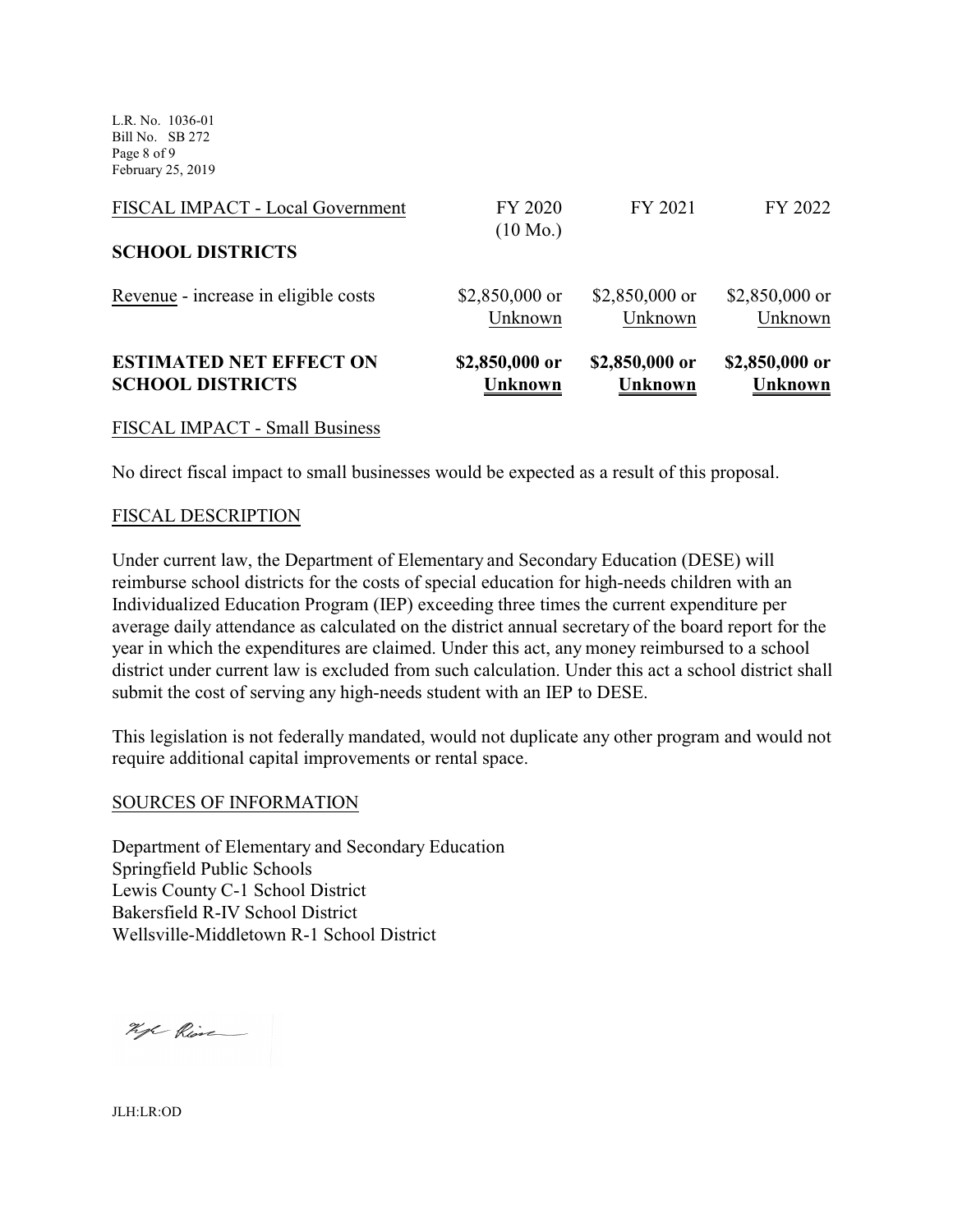L.R. No. 1036-01 Bill No. SB 272 Page 8 of 9 February 25, 2019

| <b>ESTIMATED NET EFFECT ON</b>       | \$2,850,000 or                | \$2,850,000 or  | \$2,850,000 or |
|--------------------------------------|-------------------------------|-----------------|----------------|
| <b>SCHOOL DISTRICTS</b>              | <b>Unknown</b>                | <b>Unknown</b>  | <b>Unknown</b> |
| Revenue - increase in eligible costs | $$2,850,000$ or               | $$2,850,000$ or | \$2,850,000 or |
|                                      | Unknown                       | Unknown         | Unknown        |
| <b>SCHOOL DISTRICTS</b>              |                               |                 |                |
| FISCAL IMPACT - Local Government     | FY 2020<br>$(10 \text{ Mo.})$ | FY 2021         | FY 2022        |

#### FISCAL IMPACT - Small Business

No direct fiscal impact to small businesses would be expected as a result of this proposal.

#### FISCAL DESCRIPTION

Under current law, the Department of Elementary and Secondary Education (DESE) will reimburse school districts for the costs of special education for high-needs children with an Individualized Education Program (IEP) exceeding three times the current expenditure per average daily attendance as calculated on the district annual secretary of the board report for the year in which the expenditures are claimed. Under this act, any money reimbursed to a school district under current law is excluded from such calculation. Under this act a school district shall submit the cost of serving any high-needs student with an IEP to DESE.

This legislation is not federally mandated, would not duplicate any other program and would not require additional capital improvements or rental space.

#### SOURCES OF INFORMATION

Department of Elementary and Secondary Education Springfield Public Schools Lewis County C-1 School District Bakersfield R-IV School District Wellsville-Middletown R-1 School District

Kyl Rive

JLH:LR:OD